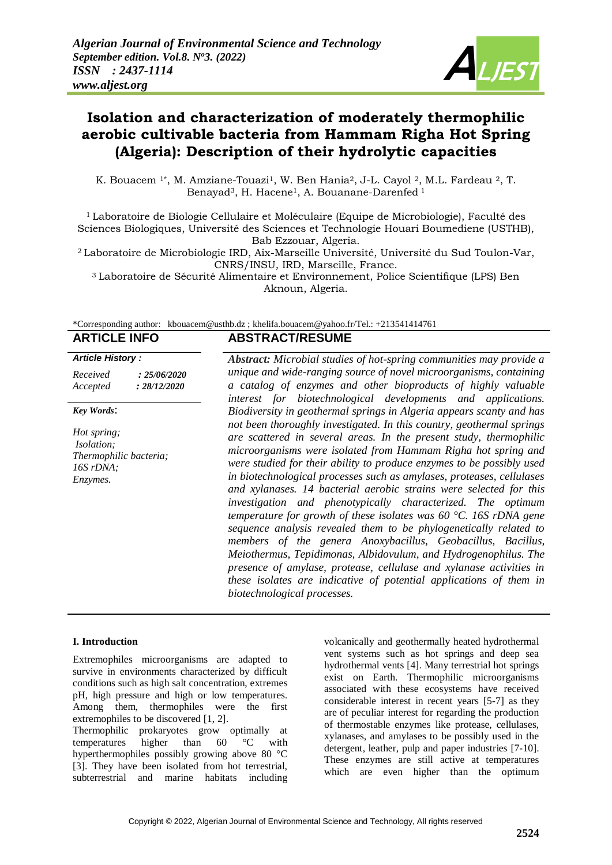

# **Isolation and characterization of moderately thermophilic aerobic cultivable bacteria from Hammam Righa Hot Spring (Algeria): Description of their hydrolytic capacities**

K. Bouacem <sup>1\*</sup>, M. Amziane-Touazi<sup>1</sup>, W. Ben Hania<sup>2</sup>, J-L. Cayol <sup>2</sup>, M.L. Fardeau <sup>2</sup>, T. Benayad<sup>3</sup>, H. Hacene<sup>1</sup>, A. Bouanane-Darenfed<sup>1</sup>

 $1$ Laboratoire de Biologie Cellulaire et Moléculaire (Equipe de Microbiologie), Faculté des Sciences Biologiques, Université des Sciences et Technologie Houari Boumediene (USTHB), Bab Ezzouar, Algeria.

<sup>2</sup>Laboratoire de Microbiologie IRD, Aix-Marseille Université, Université du Sud Toulon-Var, CNRS/INSU, IRD, Marseille, France.

<sup>3</sup>Laboratoire de Sécurité Alimentaire et Environnement, Police Scientifique (LPS) Ben Aknoun, Algeria.

|  | *Corresponding author: kbouacem@usthb.dz; khelifa.bouacem@yahoo.fr/Tel.: +213541414761 |
|--|----------------------------------------------------------------------------------------|
|--|----------------------------------------------------------------------------------------|

# **ARTICLE INFO ABSTRACT/RESUME**

#### *Article History :*

| Received | : 25/06/2020 |
|----------|--------------|
| Accepted | : 28/12/2020 |

#### *Key Words*:

*Hot spring; Isolation; Thermophilic bacteria; 16S rDNA; Enzymes.*

*Abstract: Microbial studies of hot-spring communities may provide a unique and wide-ranging source of novel microorganisms, containing a catalog of enzymes and other bioproducts of highly valuable interest for biotechnological developments and applications. Biodiversity in geothermal springs in Algeria appears scanty and has not been thoroughly investigated. In this country, geothermal springs are scattered in several areas. In the present study, thermophilic microorganisms were isolated from Hammam Righa hot spring and were studied for their ability to produce enzymes to be possibly used in biotechnological processes such as amylases, proteases, cellulases and xylanases. 14 bacterial aerobic strains were selected for this investigation and phenotypically characterized. The optimum temperature for growth of these isolates was 60 °C. 16S rDNA gene sequence analysis revealed them to be phylogenetically related to members of the genera Anoxybacillus, Geobacillus, Bacillus, Meiothermus, Tepidimonas, Albidovulum, and Hydrogenophilus. The presence of amylase, protease, cellulase and xylanase activities in these isolates are indicative of potential applications of them in biotechnological processes.*

#### **I. Introduction**

Extremophiles microorganisms are adapted to survive in environments characterized by difficult conditions such as high salt concentration, extremes pH, high pressure and high or low temperatures. Among them, thermophiles were the first extremophiles to be discovered [1, 2].

Thermophilic prokaryotes grow optimally at temperatures higher than 60 °C with hyperthermophiles possibly growing above 80 °C [3]. They have been isolated from hot terrestrial, subterrestrial and marine habitats including

volcanically and geothermally heated hydrothermal vent systems such as hot springs and deep sea hydrothermal vents [4]. Many terrestrial hot springs exist on Earth. Thermophilic microorganisms associated with these ecosystems have received considerable interest in recent years [5-7] as they are of peculiar interest for regarding the production of thermostable enzymes like protease, cellulases, xylanases, and amylases to be possibly used in the detergent, leather, pulp and paper industries [7-10]. These enzymes are still active at temperatures which are even higher than the optimum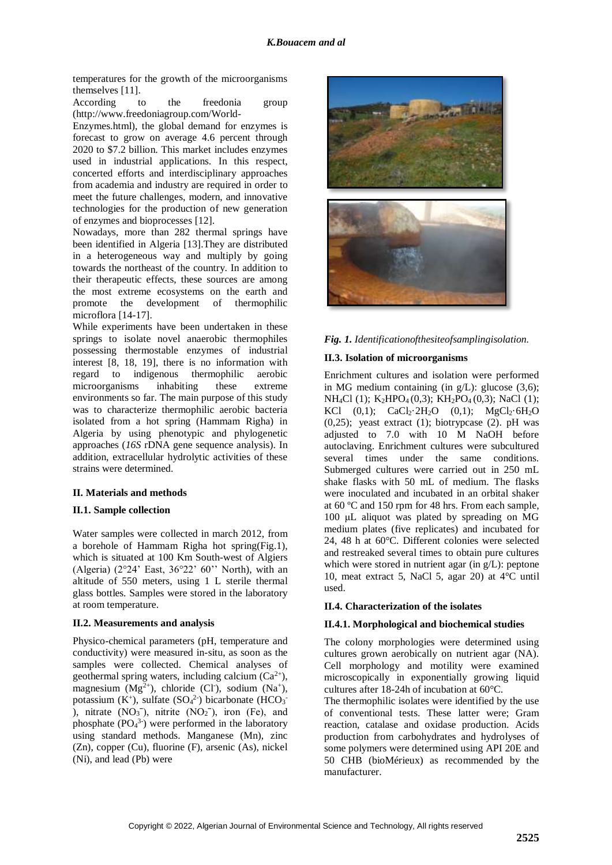temperatures for the growth of the microorganisms themselves [11].

According to the freedonia group [\(http://www.freedoniagroup.com/World-](http://www.freedoniagroup.com/World-Enzymes.html)

[Enzymes.html\)](http://www.freedoniagroup.com/World-Enzymes.html), the global demand for enzymes is forecast to grow on average 4.6 percent through 2020 to \$7.2 billion. This market includes enzymes used in industrial applications. In this respect, concerted efforts and interdisciplinary approaches from academia and industry are required in order to meet the future challenges, modern, and innovative technologies for the production of new generation of enzymes and bioprocesses [12].

Nowadays, more than 282 thermal springs have been identified in Algeria [13].They are distributed in a heterogeneous way and multiply by going towards the northeast of the country. In addition to their therapeutic effects, these sources are among the most extreme ecosystems on the earth and promote the development of thermophilic microflora [14-17].

While experiments have been undertaken in these springs to isolate novel anaerobic thermophiles possessing thermostable enzymes of industrial interest [8, 18, 19], there is no information with regard to indigenous thermophilic aerobic microorganisms inhabiting these extreme environments so far. The main purpose of this study was to characterize thermophilic aerobic bacteria isolated from a hot spring (Hammam Righa) in Algeria by using phenotypic and phylogenetic approaches (*16S* rDNA gene sequence analysis). In addition, extracellular hydrolytic activities of these strains were determined.

## **II. Materials and methods**

## **II.1. Sample collection**

Water samples were collected in march 2012, from a borehole of Hammam Righa hot spring(Fig.1), which is situated at 100 Km South-west of Algiers (Algeria)  $(2^{\circ}24'$  East,  $36^{\circ}22'$  60" North), with an altitude of 550 meters, using 1 L sterile thermal glass bottles. Samples were stored in the laboratory at room temperature.

## **II.2. Measurements and analysis**

Physico-chemical parameters (pH, temperature and conductivity) were measured in-situ, as soon as the samples were collected. Chemical analyses of geothermal spring waters, including calcium  $(Ca^{2+})$ , magnesium  $(Mg^{2+})$ , chloride (Cl<sup>-</sup>), sodium (Na<sup>+</sup>), potassium  $(K^+)$ , sulfate  $(SO_4^2)$  bicarbonate  $(HCO_3^-)$ ), nitrate  $(NO<sub>3</sub><sup>-</sup>)$ , nitrite  $(NO<sub>2</sub><sup>-</sup>)$ , iron (Fe), and phosphate  $(PO<sub>4</sub><sup>3</sup>)$  were performed in the laboratory using standard methods. Manganese (Mn), zinc (Zn), copper (Cu), fluorine (F), arsenic (As), nickel (Ni), and lead (Pb) were



## *Fig. 1. Identificationofthesiteofsamplingisolation.*

## **II.3. Isolation of microorganisms**

Enrichment cultures and isolation were performed in MG medium containing (in  $g/L$ ): glucose (3,6); NH<sub>4</sub>Cl (1); K<sub>2</sub>HPO<sub>4</sub>(0,3); KH<sub>2</sub>PO<sub>4</sub>(0,3); NaCl (1); KCl  $(0,1)$ ; CaCl<sub>2</sub>·2H<sub>2</sub>O  $(0,1)$ ; MgCl<sub>2</sub>·6H<sub>2</sub>O  $(0,25)$ ; yeast extract  $(1)$ ; biotrypcase  $(2)$ . pH was adjusted to 7.0 with 10 M NaOH before autoclaving. Enrichment cultures were subcultured several times under the same conditions. Submerged cultures were carried out in 250 mL shake flasks with 50 mL of medium. The flasks were inoculated and incubated in an orbital shaker at 60 ºC and 150 rpm for 48 hrs. From each sample, 100 μL aliquot was plated by spreading on MG medium plates (five replicates) and incubated for 24, 48 h at 60°C. Different colonies were selected and restreaked several times to obtain pure cultures which were stored in nutrient agar (in g/L): peptone 10, meat extract 5, NaCl 5, agar 20) at 4°C until used.

## **II.4. Characterization of the isolates**

## **II.4.1. Morphological and biochemical studies**

The colony morphologies were determined using cultures grown aerobically on nutrient agar (NA). Cell morphology and motility were examined microscopically in exponentially growing liquid cultures after 18-24h of incubation at 60°C.

The thermophilic isolates were identified by the use of conventional tests. These latter were; Gram reaction, catalase and oxidase production. Acids production from carbohydrates and hydrolyses of some polymers were determined using API 20E and 50 CHB (bioMérieux) as recommended by the manufacturer.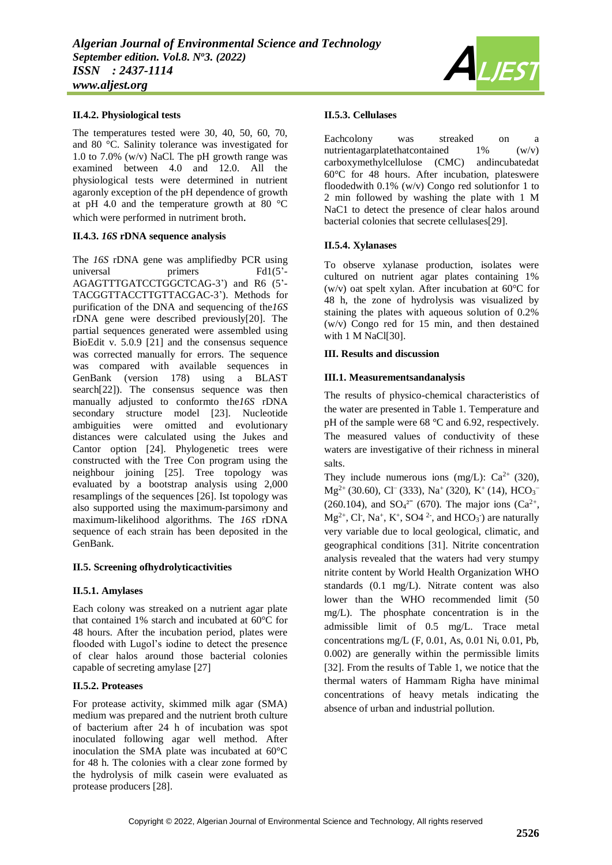## **II.4.2. Physiological tests**

The temperatures tested were 30, 40, 50, 60, 70, and 80 °C. Salinity tolerance was investigated for 1.0 to 7.0% (w/v) NaCl. The pH growth range was examined between 4.0 and 12.0. All the physiological tests were determined in nutrient agaronly exception of the pH dependence of growth at pH 4.0 and the temperature growth at 80 °C which were performed in nutriment broth.

#### **II.4.3.** *16S* **rDNA sequence analysis**

The *16S* rDNA gene was amplifiedby PCR using universal primers Fd1(5<sup>'-</sup> AGAGTTTGATCCTGGCTCAG-3') and R6 (5'- TACGGTTACCTTGTTACGAC-3'). Methods for purification of the DNA and sequencing of the*16S*  rDNA gene were described previously[20]. The partial sequences generated were assembled using BioEdit v. 5.0.9 [21] and the consensus sequence was corrected manually for errors. The sequence was compared with available sequences in GenBank (version 178) using a BLAST search<sup>[22]</sup>). The consensus sequence was then manually adjusted to conformto the*16S* rDNA secondary structure model [23]. Nucleotide ambiguities were omitted and evolutionary distances were calculated using the Jukes and Cantor option [24]. Phylogenetic trees were constructed with the Tree Con program using the neighbour joining [25]. Tree topology was evaluated by a bootstrap analysis using 2,000 resamplings of the sequences [26]. Ist topology was also supported using the maximum-parsimony and maximum-likelihood algorithms. The *16S* rDNA sequence of each strain has been deposited in the GenBank.

#### **II.5. Screening ofhydrolyticactivities**

#### **II.5.1. Amylases**

Each colony was streaked on a nutrient agar plate that contained 1% starch and incubated at 60°C for 48 hours. After the incubation period, plates were flooded with Lugol's iodine to detect the presence of clear halos around those bacterial colonies capable of secreting amylase [27]

#### **II.5.2. Proteases**

For protease activity, skimmed milk agar (SMA) medium was prepared and the nutrient broth culture of bacterium after 24 h of incubation was spot inoculated following agar well method. After inoculation the SMA plate was incubated at 60°C for 48 h. The colonies with a clear zone formed by the hydrolysis of milk casein were evaluated as protease producers [28].

#### **II.5.3. Cellulases**

Eachcolony was streaked on a nutrientagarplatethatcontained  $1\%$  (w/v) carboxymethylcellulose (CMC) andincubatedat 60°C for 48 hours. After incubation, plateswere floodedwith  $0.1\%$  (w/v) Congo red solutionfor 1 to 2 min followed by washing the plate with 1 M NaC1 to detect the presence of clear halos around bacterial colonies that secrete cellulases[29].

#### **II.5.4. Xylanases**

To observe xylanase production, isolates were cultured on nutrient agar plates containing 1% (w/v) oat spelt xylan. After incubation at  $60^{\circ}$ C for 48 h, the zone of hydrolysis was visualized by staining the plates with aqueous solution of 0.2% (w/v) Congo red for 15 min, and then destained with 1 M NaCl[30].

#### **III. Results and discussion**

#### **III.1. Measurementsandanalysis**

The results of physico-chemical characteristics of the water are presented in Table 1. Temperature and pH of the sample were 68 °C and 6.92, respectively. The measured values of conductivity of these waters are investigative of their richness in mineral salts.

They include numerous ions (mg/L):  $Ca^{2+}$  (320),  $Mg^{2+}$  (30.60), Cl<sup>−</sup> (333), Na<sup>+</sup> (320), K<sup>+</sup> (14), HCO<sub>3</sub><sup>−</sup> (260.104), and  $SO_4^2$ <sup>-</sup> (670). The major ions ( $Ca^{2+}$ ,  $Mg^{2+}$ , Cl<sup>-</sup>, Na<sup>+</sup>, K<sup>+</sup>, SO4<sup>2-</sup>, and HCO<sub>3</sub><sup>-</sup>) are naturally very variable due to local geological, climatic, and geographical conditions [31]. Nitrite concentration analysis revealed that the waters had very stumpy nitrite content by World Health Organization WHO standards (0.1 mg/L). Nitrate content was also lower than the WHO recommended limit (50 mg/L). The phosphate concentration is in the admissible limit of 0.5 mg/L. Trace metal concentrations mg/L (F, 0.01, As, 0.01 Ni, 0.01, Pb, 0.002) are generally within the permissible limits [32]. From the results of Table 1, we notice that the thermal waters of Hammam Righa have minimal concentrations of heavy metals indicating the absence of urban and industrial pollution.

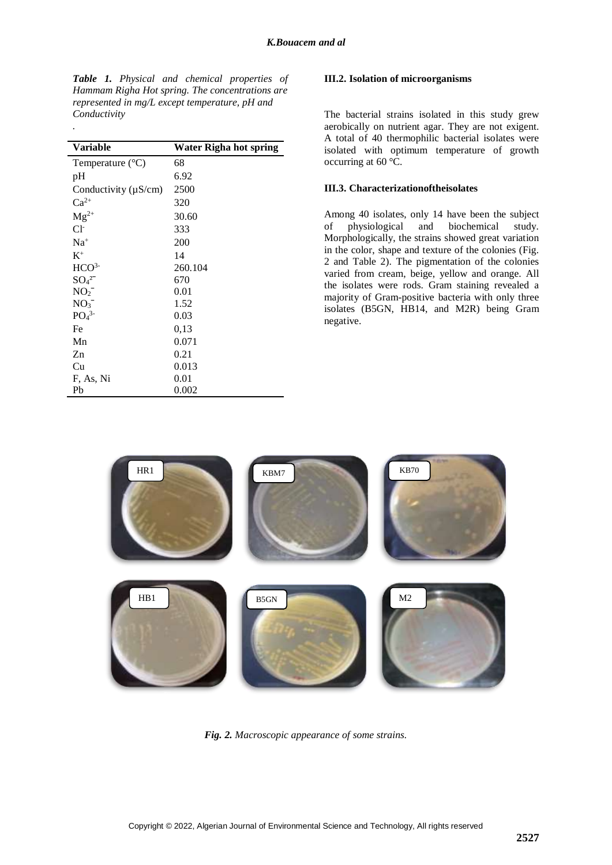*Table 1. Physical and chemical properties of Hammam Righa Hot spring. The concentrations are represented in mg/L except temperature, pH and Conductivity*

*.*

| <b>Variable</b>              | <b>Water Righa hot spring</b> |
|------------------------------|-------------------------------|
| Temperature $(^{\circ}C)$    | 68                            |
| pH                           | 6.92                          |
| Conductivity $(\mu S/cm)$    | 2500                          |
| $Ca^{2+}$                    | 320                           |
| $Mg^{2+}$                    | 30.60                         |
| $Cl+$                        | 333                           |
| $Na+$                        | 200                           |
| $K^+$                        | 14                            |
| HCO <sup>3</sup>             | 260.104                       |
| $SO_4{}^{2-}$                | 670                           |
| NO <sub>2</sub>              | 0.01                          |
| NO <sub>3</sub>              | 1.52                          |
| PO <sub>4</sub> <sup>3</sup> | 0.03                          |
| Fe                           | 0,13                          |
| Mn                           | 0.071                         |
| Zn                           | 0.21                          |
| Cu                           | 0.013                         |
| F, As, Ni                    | 0.01                          |
| Pb                           | 0.002                         |

#### **III.2. Isolation of microorganisms**

The bacterial strains isolated in this study grew aerobically on nutrient agar. They are not exigent. A total of 40 thermophilic bacterial isolates were isolated with optimum temperature of growth occurring at 60 °C.

## **III.3. Characterizationoftheisolates**

Among 40 isolates, only 14 have been the subject of physiological and biochemical study. Morphologically, the strains showed great variation in the color, shape and texture of the colonies (Fig. 2 and Table 2). The pigmentation of the colonies varied from cream, beige, yellow and orange. All the isolates were rods. Gram staining revealed a majority of Gram-positive bacteria with only three isolates (B5GN, HB14, and M2R) being Gram negative.



*Fig. 2. Macroscopic appearance of some strains.*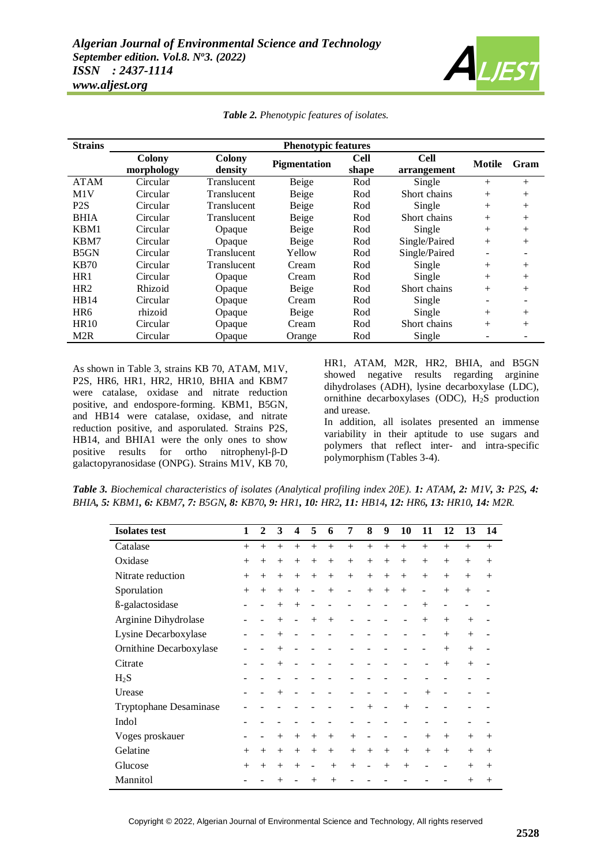

| <b>Strains</b>   | <b>Phenotypic features</b>  |                          |                     |                      |                            |               |      |  |  |  |  |  |  |
|------------------|-----------------------------|--------------------------|---------------------|----------------------|----------------------------|---------------|------|--|--|--|--|--|--|
|                  | <b>Colony</b><br>morphology | <b>Colony</b><br>density | <b>Pigmentation</b> | <b>Cell</b><br>shape | <b>Cell</b><br>arrangement | <b>Motile</b> | Gram |  |  |  |  |  |  |
| <b>ATAM</b>      | Circular                    | <b>Translucent</b>       | Beige               | Rod                  | Single                     | $^{+}$        | $+$  |  |  |  |  |  |  |
| M1V              | Circular                    | Translucent              | Beige               | Rod                  | Short chains               | $^{+}$        | $+$  |  |  |  |  |  |  |
| P <sub>2</sub> S | Circular                    | Translucent              | Beige               | Rod                  | Single                     | $^{+}$        | $+$  |  |  |  |  |  |  |
| <b>BHIA</b>      | Circular                    | Translucent              | Beige               | Rod                  | Short chains               | $^{+}$        | $+$  |  |  |  |  |  |  |
| KBM1             | Circular                    | Opaque                   | Beige               | Rod                  | Single                     | $+$           | $+$  |  |  |  |  |  |  |
| KBM7             | Circular                    | Opaque                   | Beige               | Rod                  | Single/Paired              | $+$           | $+$  |  |  |  |  |  |  |
| B5GN             | Circular                    | <b>Translucent</b>       | Yellow              | Rod                  | Single/Paired              |               |      |  |  |  |  |  |  |
| <b>KB70</b>      | Circular                    | Translucent              | Cream               | Rod                  | Single                     | $^{+}$        | $+$  |  |  |  |  |  |  |
| HR1              | Circular                    | Opaque                   | Cream               | Rod                  | Single                     | $^{+}$        | $+$  |  |  |  |  |  |  |
| HR <sub>2</sub>  | Rhizoid                     | Opaque                   | Beige               | Rod                  | Short chains               | $+$           | $+$  |  |  |  |  |  |  |
| HB14             | Circular                    | Opaque                   | Cream               | Rod                  | Single                     | -             |      |  |  |  |  |  |  |
| HR <sub>6</sub>  | rhizoid                     | Opaque                   | Beige               | Rod                  | Single                     | $^{+}$        | $+$  |  |  |  |  |  |  |
| <b>HR10</b>      | Circular                    | Opaque                   | Cream               | Rod                  | Short chains               | $^{+}$        | $^+$ |  |  |  |  |  |  |
| M <sub>2</sub> R | Circular                    | Opaque                   | Orange              | Rod                  | Single                     |               |      |  |  |  |  |  |  |

*Table 2. Phenotypic features of isolates.*

As shown in Table 3, strains KB 70, ATAM, M1V, P2S, HR6, HR1, HR2, HR10, BHIA and KBM7 were catalase, oxidase and nitrate reduction positive, and endospore-forming. KBM1, B5GN, and HB14 were catalase, oxidase, and nitrate reduction positive, and asporulated. Strains P2S, HB14, and BHIA1 were the only ones to show positive results for ortho nitrophenyl-β-D galactopyranosidase (ONPG). Strains M1V, KB 70, HR1, ATAM, M2R, HR2, BHIA, and B5GN showed negative results regarding arginine dihydrolases (ADH), lysine decarboxylase (LDC), ornithine decarboxylases (ODC), H<sub>2</sub>S production and urease.

In addition, all isolates presented an immense variability in their aptitude to use sugars and polymers that reflect inter- and intra-specific polymorphism (Tables 3-4).

*Table 3. Biochemical characteristics of isolates (Analytical profiling index 20E). 1: ATAM, 2: M1V, 3: P2S, 4:*  BHIA, 5: KBM1, 6: KBM7, 7: B5GN, 8: KB70, 9: HR1, 10: HR2, 11: HB14, 12: HR6, 13: HR10, 14: M2R.

| <b>Isolates</b> test          | 1      | $\mathbf{2}$ | 3      | 4      | 5              | 6      | 7                        | 8                 | 9      | 10     | 11                       | 12     | 13     | 14     |
|-------------------------------|--------|--------------|--------|--------|----------------|--------|--------------------------|-------------------|--------|--------|--------------------------|--------|--------|--------|
| Catalase                      | $^{+}$ | $^{+}$       | $+$    | $^{+}$ | $^{+}$         | $+$    | $+$                      | $+$               | $+$    | $+$    | $+$                      | $+$    | $^{+}$ | $+$    |
| Oxidase                       | $^{+}$ | $^{+}$       | $^{+}$ | $+$    | $+$            | $^{+}$ | $^{+}$                   | $+$               | $+$    | $+$    | $^{+}$                   | $^{+}$ | $^{+}$ | $^{+}$ |
| Nitrate reduction             | $^{+}$ | $^{+}$       | $+$    | $+$    | $+$            | $^{+}$ | $+$                      | $+$               | $+$    | $+$    | $^{+}$                   | $^{+}$ | $^{+}$ | $^{+}$ |
| Sporulation                   | $^{+}$ | $^{+}$       | $^{+}$ | $^{+}$ | $\overline{a}$ | $^{+}$ | $\overline{\phantom{a}}$ | $+$               | $+$    | $^{+}$ | $\overline{\phantom{0}}$ | $+$    | $^{+}$ |        |
| ß-galactosidase               |        |              | $+$    | $^{+}$ |                |        |                          |                   |        |        | $^{+}$                   |        |        |        |
| Arginine Dihydrolase          |        |              | $^{+}$ |        | $+$            | $+$    |                          |                   |        |        | $^{+}$                   | $^{+}$ | $+$    |        |
| Lysine Decarboxylase          |        |              | $+$    |        |                |        |                          |                   |        |        |                          | $+$    | $+$    |        |
| Ornithine Decarboxylase       |        |              | $^{+}$ |        |                |        |                          |                   |        |        |                          | $^{+}$ | $+$    |        |
| Citrate                       |        |              | $^{+}$ |        |                |        |                          |                   |        |        |                          | $^{+}$ | $^{+}$ |        |
| $H_2S$                        |        |              |        |        |                |        |                          |                   |        |        |                          |        |        |        |
| Urease                        |        |              | $+$    |        |                |        |                          |                   |        |        | $^{+}$                   |        |        |        |
| <b>Tryptophane Desaminase</b> |        |              |        |        |                |        |                          | $+$               |        | $+$    |                          |        |        |        |
| Indol                         |        |              |        |        |                |        |                          |                   |        |        |                          |        |        |        |
| Voges proskauer               |        |              | $^{+}$ | $^{+}$ | $^{+}$         | $^{+}$ | $^{+}$                   |                   |        |        | $^{+}$                   | $+$    | $^{+}$ | $^{+}$ |
| Gelatine                      | $^{+}$ | $^{+}$       | $^{+}$ | $^{+}$ | $+$            | $+$    | $^{+}$                   | $+$               | $+$    | $+$    | $+$                      | $+$    | $+$    | $+$    |
| Glucose                       | $^{+}$ | $^{+}$       | $^{+}$ | $^{+}$ | -              | $+$    | $+$                      | $\qquad \qquad -$ | $^{+}$ | $+$    |                          |        | $+$    | $+$    |
| Mannitol                      |        |              | $^{+}$ |        | $^{+}$         | $^{+}$ |                          |                   |        |        |                          |        | $^{+}$ | $^{+}$ |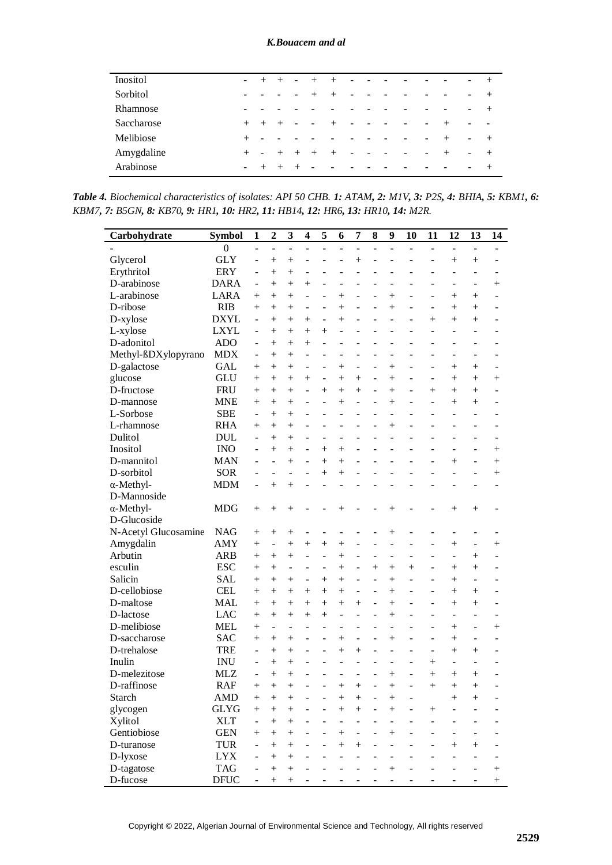| Inositol   | $\sim$                       |        | $^+$   | $\overline{\phantom{a}}$     |                          | $^{+}$                   | -                        |                          |                          |                          |                          |                              |            |
|------------|------------------------------|--------|--------|------------------------------|--------------------------|--------------------------|--------------------------|--------------------------|--------------------------|--------------------------|--------------------------|------------------------------|------------|
| Sorbitol   | $\qquad \qquad \blacksquare$ |        |        | $\qquad \qquad \blacksquare$ | $^{+}$                   | $^+$                     | $\overline{\phantom{a}}$ | $\qquad \qquad$          | ۰                        | $\qquad \qquad$          | $\overline{\phantom{a}}$ | $\qquad \qquad \blacksquare$ | $^{+}$     |
| Rhamnose   |                              |        |        |                              |                          |                          |                          |                          |                          |                          |                          | $\overline{\phantom{a}}$     | $^{+}$     |
| Saccharose | $^{+}$                       | $^{+}$ | $^{+}$ | $\overline{\phantom{a}}$     | $\overline{\phantom{a}}$ | $^{+}$                   | $\overline{\phantom{a}}$ | $\overline{\phantom{a}}$ | -                        | -                        | $+$                      | $\overline{\phantom{a}}$     | $\sim$ $-$ |
| Melibiose  | $^{+}$                       |        |        |                              |                          |                          |                          |                          | $\overline{\phantom{a}}$ | $\overline{\phantom{a}}$ | $+$                      | $\overline{\phantom{a}}$     | $+$        |
| Amygdaline | $^{+}$                       | -      | $^{+}$ | $+$                          | $^{+}$                   | $^{+}$                   | ۰                        |                          | $\overline{\phantom{0}}$ | -                        | $+$                      | ۰                            | $+$        |
| Arabinose  | ۰                            | $^+$   | $^{+}$ |                              | $\overline{\phantom{a}}$ | $\overline{\phantom{0}}$ | $\overline{\phantom{0}}$ |                          |                          |                          | $\overline{\phantom{0}}$ | $\overline{\phantom{a}}$     | $^{+}$     |

*Table 4. Biochemical characteristics of isolates: API 50 CHB. 1: ATAM, 2: M1V, 3: P2S, 4: BHIA, 5: KBM1, 6:*  KBM7, 7: B5GN, 8: KB70, 9: HR1, 10: HR2, 11: HB14, 12: HR6, 13: HR10, 14: M2R.

| Carbohydrate          | <b>Symbol</b>            | $\mathbf{1}$             | $\overline{2}$         | 3                        | $\overline{\mathbf{4}}$ | 5                        | 6                        | 7              | 8                           | 9                                | 10             | 11             | 12                     | 13                       | 14             |
|-----------------------|--------------------------|--------------------------|------------------------|--------------------------|-------------------------|--------------------------|--------------------------|----------------|-----------------------------|----------------------------------|----------------|----------------|------------------------|--------------------------|----------------|
|                       | $\boldsymbol{0}$         | ÷,                       |                        |                          |                         |                          |                          |                |                             |                                  |                | L.             | L.                     |                          |                |
| Glycerol              | <b>GLY</b>               | ÷,                       | $^{+}$                 | $^{+}$                   | $\overline{a}$          | $\overline{a}$           | $\overline{a}$           | $+$            | $\overline{a}$              | $\overline{a}$                   | $\overline{a}$ | $\overline{a}$ | $^{+}$                 | $+$                      | $\overline{a}$ |
| Erythritol            | <b>ERY</b>               | $\overline{a}$           | $^{+}$                 | $^{+}$                   | $\overline{a}$          |                          | $\overline{a}$           | L.             | $\overline{a}$              | $\overline{a}$                   | L,             | $\overline{a}$ | $\overline{a}$         | $\overline{a}$           |                |
| D-arabinose           | <b>DARA</b>              | $\overline{a}$           | $^{+}$                 | $^{+}$                   | $^{+}$                  |                          |                          |                |                             |                                  |                |                | $\overline{a}$         | ÷,                       | $^{+}$         |
| L-arabinose           | <b>LARA</b>              | $+$                      | $^{+}$                 | $^{+}$                   | $\overline{a}$          |                          | $^{+}$                   |                | $\overline{a}$              | $^{+}$                           |                | ÷,             | $^{+}$                 | $^{+}$                   |                |
| D-ribose              | <b>RIB</b>               | $+$                      | $+$                    | $^{+}$                   | ÷,                      | $\overline{a}$           | $^{+}$                   | L.             | $\overline{a}$              | $+$                              | $\overline{a}$ | ÷,             | $^{+}$                 | $+$                      |                |
| D-xylose              | <b>DXYL</b>              | ÷,                       | $^{+}$                 | $^{+}$                   | $^{+}$                  | $\overline{a}$           | $^{+}$                   |                | $\overline{a}$              | $\overline{a}$                   |                | $^{+}$         | $^{+}$                 | $^{+}$                   |                |
| L-xylose              | <b>LXYL</b>              | ÷,                       | $+$                    | $+$                      | $^{+}$                  | $+$                      |                          |                |                             |                                  |                | ÷,             |                        |                          |                |
| D-adonitol            | <b>ADO</b>               | ÷                        | $+$                    | $+$                      | $^{+}$                  | $\overline{a}$           |                          |                |                             |                                  |                |                |                        |                          |                |
| Methyl-BDXylopyrano   | <b>MDX</b>               | ÷,                       | $+$                    | $^{+}$                   | ÷,                      |                          | ÷,                       |                |                             |                                  |                |                |                        |                          |                |
| D-galactose           | <b>GAL</b>               | $^{+}$                   | $+$                    | $^{+}$                   |                         |                          | $^{+}$                   |                | $\overline{a}$              | $^{+}$                           |                | ÷,             | $^{+}$                 | $+$                      |                |
| glucose               | <b>GLU</b>               | $+$                      | $^{+}$                 | $^{+}$                   | $\ddot{}$               | $\overline{a}$           | $^{+}$                   | $+$            | $\overline{a}$              | $^{+}$                           | $\overline{a}$ | ÷,             | $^{+}$                 | $+$                      | $+$            |
| D-fructose            | <b>FRU</b>               | $+$                      | $^{+}$                 | $^{+}$                   | $\overline{a}$          | $^{+}$                   | $\ddot{}$                | $+$            | $\overline{a}$              | $+$                              |                | $^{+}$         | $^{+}$                 | $+$                      |                |
| D-mannose             | <b>MNE</b>               | $+$                      | $+$                    | $^{+}$                   | $\overline{a}$          | $\overline{a}$           | $^{+}$                   |                | $\overline{a}$              | $^{+}$                           |                | $\overline{a}$ | $^{+}$                 | $+$                      |                |
| L-Sorbose             | <b>SBE</b>               | $\overline{a}$           | $+$                    | $^{+}$                   | $\overline{a}$          | $\overline{a}$           | $\overline{a}$           |                | $\overline{a}$              | $\overline{a}$                   | $\overline{a}$ | $\overline{a}$ | $\overline{a}$         | $\overline{a}$           |                |
| L-rhamnose            | <b>RHA</b>               | $+$                      | $^{+}$                 | $^{+}$                   | ÷,                      |                          |                          |                |                             | $^{+}$                           |                |                | $\overline{a}$         |                          |                |
| Dulitol               | <b>DUL</b>               | $\overline{a}$           | $^{+}$                 | $^{+}$                   | ÷,                      |                          | ÷.                       |                |                             |                                  |                |                |                        | ÷,                       |                |
| Inositol              | <b>INO</b>               | ÷,                       | $+$                    | $^{+}$                   | ÷,                      | $+$                      | $+$                      |                | L                           | ÷.                               | ÷,             | L,             | ÷.                     | $\overline{\phantom{a}}$ | $^{+}$         |
| D-mannitol            | <b>MAN</b>               | ÷                        |                        | $^{+}$                   | ÷,                      | $\ddot{}$                | $^{+}$                   |                |                             | $\overline{a}$                   | $\overline{a}$ | $\overline{a}$ | $^{+}$                 | $\overline{\phantom{a}}$ | $^{+}$         |
| D-sorbitol            | <b>SOR</b>               |                          | $\overline{a}$         | ÷,                       | ÷                       | $\ddot{}$                | $^{+}$                   |                |                             |                                  |                |                |                        | ÷                        | $^{+}$         |
| $\alpha$ -Methyl-     | <b>MDM</b>               | ÷,                       | $+$                    | $^{+}$                   |                         |                          |                          |                |                             |                                  |                |                |                        |                          |                |
| D-Mannoside           |                          |                          |                        |                          |                         |                          |                          |                |                             |                                  |                |                |                        |                          |                |
| $\alpha$ -Methyl-     | <b>MDG</b>               | $^{+}$                   | $^{+}$                 | $^{+}$                   |                         |                          | $^{+}$                   |                |                             | $^{+}$                           |                |                | $^{+}$                 | $^{+}$                   |                |
| D-Glucoside           |                          |                          |                        |                          |                         |                          |                          |                |                             |                                  |                |                |                        |                          |                |
| N-Acetyl Glucosamine  | <b>NAG</b>               | $^{+}$                   | $^{+}$                 | $^{+}$                   |                         |                          |                          |                |                             | $^{+}$                           |                |                |                        |                          |                |
| Amygdalin             | <b>AMY</b>               | $^{+}$                   | $\overline{a}$         | $^{+}$                   | $\ddot{}$               | $^{+}$                   | $^{+}$                   |                |                             | $\overline{a}$                   |                | $\overline{a}$ | $^{+}$                 |                          | $^{+}$         |
| Arbutin               | <b>ARB</b>               |                          |                        |                          | $\overline{a}$          | $\overline{a}$           |                          |                |                             |                                  |                |                | $\overline{a}$         | $+$                      |                |
| esculin               | <b>ESC</b>               | $+$<br>$+$               | $^{+}$<br>$^{+}$       | $^{+}$<br>$\overline{a}$ | ÷,                      | $\overline{a}$           | $^{+}$<br>$^{+}$         |                | $\overline{a}$<br>$\ddot{}$ | $\overline{a}$<br>$+$            | $+$            | ÷              | $^{+}$                 | $^{+}$                   |                |
| Salicin               | <b>SAL</b>               |                          |                        |                          | ÷.                      |                          |                          |                | $\overline{a}$              | $^{+}$                           |                | ÷,             |                        |                          |                |
| D-cellobiose          | <b>CEL</b>               | $+$                      | $^{+}$                 | $+$                      |                         | $+$                      | $^{+}$                   | $\overline{a}$ | ÷,                          |                                  |                |                | $^{+}$                 |                          |                |
| D-maltose             | <b>MAL</b>               | $+$                      | $+$                    | $^{+}$                   | $+$                     | $+$                      | $+$                      |                |                             | $+$                              | $\overline{a}$ | ÷,             | $^{+}$                 | $^{+}$                   |                |
| D-lactose             | <b>LAC</b>               | $^{+}$                   | $^{+}$                 | $^{+}$                   | $^{+}$                  | $+$                      | $+$<br>$\overline{a}$    | $+$            | $\overline{a}$              | $+$                              |                | $\overline{a}$ | $^{+}$                 | $^{+}$                   | $\overline{a}$ |
| D-melibiose           |                          | $^{+}$                   | $^{+}$                 | $^{+}$                   | $^{+}$                  | $+$                      |                          |                | $\overline{a}$              | $+$                              |                | $\overline{a}$ | ÷,                     |                          |                |
| D-saccharose          | <b>MEL</b><br><b>SAC</b> | $^{+}$                   | $\overline{a}$         | $\overline{a}$           | ÷                       | $\overline{\phantom{a}}$ | $\overline{\phantom{0}}$ |                |                             | $\overline{a}$                   |                | $\overline{a}$ | $+$                    |                          | $^{+}$         |
|                       |                          | $+$                      | $^{+}$                 | $+$                      | ÷                       | ÷,                       | $^{+}$                   | ÷,             | ÷,                          | $+$                              | $\overline{a}$ | ÷              | $^{+}$                 | ÷                        |                |
| D-trehalose<br>Inulin | <b>TRE</b>               | ÷                        | $+$                    | $^{+}$                   | $\overline{a}$          | ÷,                       | $^{+}$<br>L.             | $+$            | $\overline{a}$              | $\overline{a}$<br>$\overline{a}$ |                | ÷              | $^{+}$                 | $+$                      |                |
|                       | <b>INU</b>               | ۳                        | $^{+}$                 | $^{+}$                   |                         |                          |                          |                |                             |                                  |                | $^{+}$         | L.                     | L.                       |                |
| D-melezitose          | <b>MLZ</b>               | ÷                        | $^{+}$<br>$\mathbf{I}$ | $^{+}$                   |                         |                          |                          | $\mathbf{I}$   | $\overline{a}$              | $^{+}$<br>$\mathbf{I}$           |                | $^{+}$         | $^{+}$<br>$\mathbf{I}$ | $^{+}$<br>$\mathbf{I}$   |                |
| D-raffinose           | <b>RAF</b>               | $^{+}$                   |                        | ∔                        |                         |                          | $\mathbf{I}$             |                |                             |                                  |                | $^{+}$         |                        |                          |                |
| <b>Starch</b>         | <b>AMD</b>               | $^{+}$                   | $+$                    | $^{+}$                   |                         |                          | $^{+}$                   | $^{+}$         |                             | $^{+}$                           |                |                | $^{+}$                 | $^{+}$                   |                |
| glycogen              | <b>GLYG</b>              | $^{+}$                   | $+$                    | $^{+}$                   |                         |                          | $\ddot{}$                | $^{+}$         |                             | $^{+}$                           |                | $^{+}$         |                        |                          |                |
| Xylitol               | <b>XLT</b>               | $\overline{\phantom{a}}$ | $+$                    | $^{+}$                   |                         |                          |                          |                |                             |                                  |                |                |                        |                          |                |
| Gentiobiose           | <b>GEN</b>               | $^{+}$                   | $^{+}$                 | $^{+}$                   |                         |                          | $+$                      |                |                             | $^{+}$                           |                |                |                        |                          |                |
| D-turanose            | <b>TUR</b>               |                          | $^{+}$                 | $^{+}$                   |                         |                          | $^{+}$                   | $^{+}$         |                             |                                  |                |                | $^{+}$                 | $^{+}$                   |                |
| D-lyxose              | <b>LYX</b>               |                          | $^{+}$                 | $^{+}$                   |                         |                          |                          |                |                             |                                  |                |                |                        |                          |                |
| D-tagatose            | <b>TAG</b>               |                          | $+$                    | $^{+}$                   |                         |                          |                          |                |                             | $+$                              |                |                |                        |                          | $^{+}$         |
| D-fucose              | <b>DFUC</b>              | -                        | $^{+}$                 | $\! +$                   |                         |                          |                          |                |                             |                                  |                |                |                        |                          | $^{+}$         |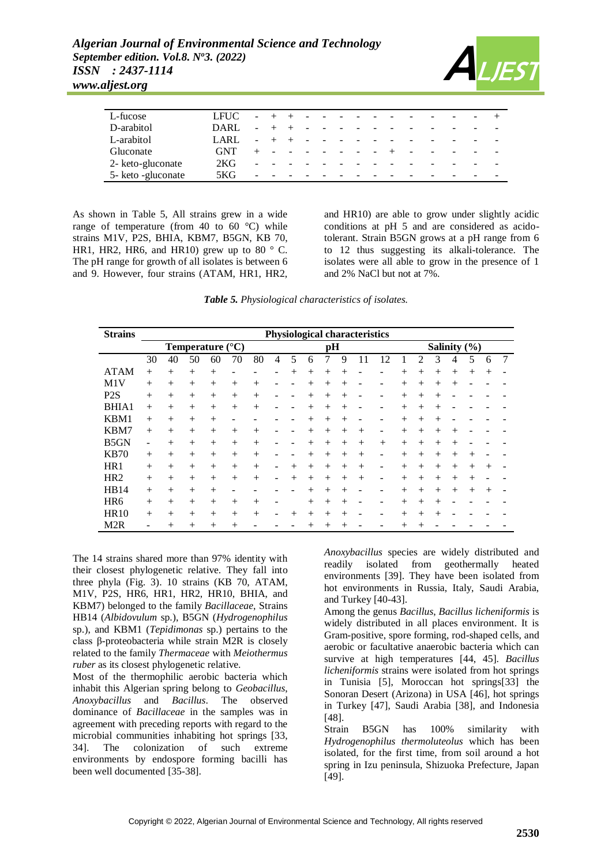

| L-fucose           | LFUC       |    |        |    | $\overline{\phantom{0}}$ |                          |                          |   |                          |          | $\overline{\phantom{a}}$ | $\overline{\phantom{a}}$ |                          |
|--------------------|------------|----|--------|----|--------------------------|--------------------------|--------------------------|---|--------------------------|----------|--------------------------|--------------------------|--------------------------|
| D-arabitol         | DARL       |    |        |    |                          |                          |                          |   |                          |          |                          |                          | $\overline{\phantom{0}}$ |
| L-arabitol         | LARL       | ۰. |        |    | $\overline{\phantom{a}}$ | $\overline{\phantom{0}}$ | $\overline{a}$           |   |                          |          | $\overline{\phantom{a}}$ | $\sim$                   |                          |
| Gluconate          | <b>GNT</b> |    | $\sim$ | ÷. | $\overline{\phantom{0}}$ |                          | $\overline{\phantom{a}}$ | - | $\overline{\phantom{a}}$ | $\equiv$ | $\overline{\phantom{a}}$ | $\overline{\phantom{a}}$ | $\sim$                   |
| 2- keto-gluconate  | 2KG.       | ۰  |        |    |                          |                          |                          |   |                          |          |                          |                          | $\overline{\phantom{a}}$ |
| 5- keto -gluconate | 5KG.       | -  |        |    |                          |                          |                          |   |                          |          |                          |                          | $\overline{\phantom{0}}$ |

As shown in Table 5, All strains grew in a wide range of temperature (from 40 to 60 °C) while strains M1V, P2S, BHIA, KBM7, B5GN, KB 70, HR1, HR2, HR6, and HR10) grew up to 80 $\degree$  C. The pH range for growth of all isolates is between 6 and 9. However, four strains (ATAM, HR1, HR2,

and HR10) are able to grow under slightly acidic conditions at pH 5 and are considered as acidotolerant. Strain B5GN grows at a pH range from 6 to 12 thus suggesting its alkali-tolerance. The isolates were all able to grow in the presence of 1 and 2% NaCl but not at 7%.

|  |  | Table 5. Physiological characteristics of isolates. |  |
|--|--|-----------------------------------------------------|--|
|--|--|-----------------------------------------------------|--|

| <b>Strains</b>   | <b>Physiological characteristics</b> |        |        |                           |        |        |   |        |        |        |        |        |                              |        |                |                |                  |        |        |   |
|------------------|--------------------------------------|--------|--------|---------------------------|--------|--------|---|--------|--------|--------|--------|--------|------------------------------|--------|----------------|----------------|------------------|--------|--------|---|
|                  |                                      |        |        | Temperature $(^{\circ}C)$ |        |        |   |        |        | pH     |        |        |                              |        |                |                | Salinity $(\% )$ |        |        |   |
|                  | 30                                   | 40     | 50     | 60                        | 70     | 80     | 4 | 5      | 6      | 7      | 9      | 11     | 12                           |        | $\mathfrak{D}$ | 3              | 4                | 5      | 6      | 7 |
| <b>ATAM</b>      | $^{+}$                               | $^{+}$ | $^{+}$ | $+$                       |        |        |   | $+$    | $^{+}$ | $^+$   | $^{+}$ |        |                              | $^{+}$ | $^{+}$         | $+$            | $^{+}$           | $^{+}$ | $^{+}$ |   |
| M1V              | $^{+}$                               | $^{+}$ | $+$    | $+$                       | $^{+}$ | $^{+}$ |   |        | $^{+}$ | $^+$   | $^{+}$ |        |                              | $^{+}$ | $^{+}$         | $+$            | $^{+}$           |        |        |   |
| P <sub>2</sub> S | $^{+}$                               | $^{+}$ | $+$    | $+$                       | $+$    | $^{+}$ |   |        | $+$    | $+$    | $^{+}$ |        | -                            | $^{+}$ | $^{+}$         | $^{+}$         |                  |        |        |   |
| <b>BHIA1</b>     | $^{+}$                               | $^{+}$ | $+$    | $+$                       | $^{+}$ | $^{+}$ |   |        | $^{+}$ | $^{+}$ | $^+$   |        | ۰                            | $^{+}$ | $^{+}$         | $\overline{+}$ |                  |        |        |   |
| KBM1             | $+$                                  | $^{+}$ | $^{+}$ | $+$                       |        |        |   |        | $^+$   | $^{+}$ | $^+$   |        |                              | $^{+}$ | $^{+}$         | $\mathrm{+}$   |                  |        |        |   |
| KBM7             | $+$                                  | $^{+}$ | $+$    | $+$                       | $+$    | $^{+}$ |   |        | $+$    | $^{+}$ | $^{+}$ | $+$    | $\qquad \qquad \blacksquare$ | $^{+}$ | $^{+}$         | $+$            | $^{+}$           |        |        |   |
| B5GN             | ۰                                    | $^{+}$ | $^{+}$ | $+$                       | $+$    | $^{+}$ |   |        | $^{+}$ | $^{+}$ | $^{+}$ | $+$    | $^{+}$                       | $^{+}$ | $^{+}$         | $+$            | $^{+}$           |        |        |   |
| <b>KB70</b>      | $^{+}$                               | $^{+}$ | $+$    | $+$                       | $+$    | $^{+}$ |   |        | $^{+}$ | $^{+}$ | $^{+}$ | $+$    | -                            | $^{+}$ | $^{+}$         | $+$            | $^{+}$           | $^{+}$ |        |   |
| HR <sub>1</sub>  | $^{+}$                               | $^{+}$ | $+$    | $+$                       | $^{+}$ | $+$    |   | $^+$   | $^{+}$ | $^{+}$ | $+$    | $+$    | -                            | $^{+}$ | $^{+}$         | $+$            | $^{+}$           | $^{+}$ | $^{+}$ |   |
| HR <sub>2</sub>  | $^{+}$                               | $^{+}$ | $+$    | $+$                       | $+$    | $^{+}$ |   | $^{+}$ | $^{+}$ | $^{+}$ | $^{+}$ | $^{+}$ | ۰                            | $^{+}$ | $^{+}$         | $+$            | $^{+}$           | $^{+}$ |        |   |
| HB14             | $^{+}$                               | $^{+}$ | $+$    | $+$                       |        |        |   |        | $^{+}$ | $^{+}$ | +      |        | ۰                            | $^{+}$ | $^{+}$         | $+$            | $+$              | $^{+}$ | $^{+}$ |   |
| HR <sub>6</sub>  | $^{+}$                               | $^{+}$ | $+$    | $+$                       | $^{+}$ | $^{+}$ |   |        | $+$    | $^{+}$ | $^{+}$ |        |                              | $^{+}$ | $^{+}$         | $\overline{+}$ |                  |        |        |   |
| <b>HR10</b>      | $^{+}$                               | $^{+}$ | $+$    | $+$                       | $+$    | $^{+}$ |   | $^{+}$ | $^{+}$ | $^+$   | $^{+}$ |        |                              | $^{+}$ | $^{+}$         | $\overline{+}$ |                  |        |        |   |
| M <sub>2</sub> R |                                      | $^{+}$ | $^{+}$ | $+$                       | $+$    |        |   |        |        | $^+$   | $^+$   |        |                              | $^{+}$ | $^{+}$         |                |                  |        |        |   |

The 14 strains shared more than 97% identity with their closest phylogenetic relative. They fall into three phyla (Fig. 3). 10 strains (KB 70, ATAM, M1V, P2S, HR6, HR1, HR2, HR10, BHIA, and KBM7) belonged to the family *Bacillaceae*, Strains HB14 (*Albidovulum* sp.), B5GN (*Hydrogenophilus*  sp.), and KBM1 (*Tepidimonas* sp.) pertains to the class β-proteobacteria while strain M2R is closely related to the family *Thermaceae* with *Meiothermus ruber* as its closest phylogenetic relative.

Most of the thermophilic aerobic bacteria which inhabit this Algerian spring belong to *Geobacillus*, *Anoxybacillus* and *Bacillus*. The observed dominance of *Bacillaceae* in the samples was in agreement with preceding reports with regard to the microbial communities inhabiting hot springs [33, 34]. The colonization of such extreme environments by endospore forming bacilli has been well documented [35-38].

*Anoxybacillus* species are widely distributed and readily isolated from geothermally heated environments [39]. They have been isolated from hot environments in Russia, Italy, Saudi Arabia, and Turkey [40-43].

Among the genus *Bacillus*, *Bacillus licheniformis* is widely distributed in all places environment. It is Gram-positive, spore forming, rod-shaped cells, and aerobic or facultative anaerobic bacteria which can survive at high temperatures [44, 45]. *Bacillus licheniformis* strains were isolated from hot springs in Tunisia [5], Moroccan hot springs[33] the Sonoran Desert (Arizona) in USA [46], hot springs in Turkey [47], Saudi Arabia [38], and Indonesia [48].

Strain B5GN has 100% similarity with *Hydrogenophilus thermoluteolus* which has been isolated, for the first time, from soil around a hot spring in Izu peninsula, Shizuoka Prefecture, Japan [49].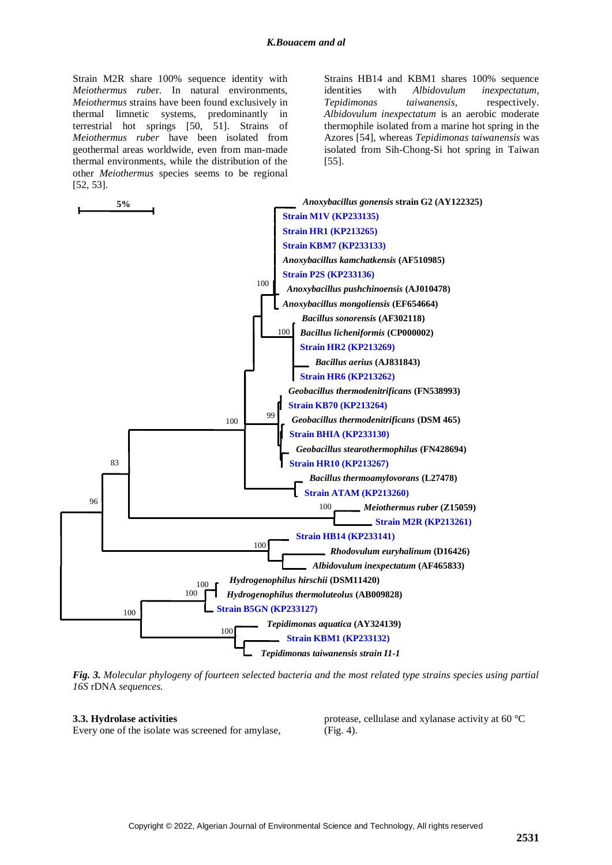Strain M2R share 100% sequence identity with *Meiothermus rube*r. In natural environments, *Meiothermus* strains have been found exclusively in thermal limnetic systems, predominantly in terrestrial hot springs [50, 51]. Strains of *Meiothermus ruber* have been isolated from geothermal areas worldwide, even from man-made thermal environments, while the distribution of the other *Meiothermus* species seems to be regional [52, 53].

Strains HB14 and KBM1 shares 100% sequence identities with *Albidovulum inexpectatum*, *Tepidimonas taiwanensis*, respectively. *Albidovulum inexpectatum* is an aerobic moderate thermophile isolated from a marine hot spring in the Azores [54], whereas *Tepidimonas taiwanensis* was isolated from Sih-Chong-Si hot spring in Taiwan [55].



*Fig. 3. Molecular phylogeny of fourteen selected bacteria and the most related type strains species using partial 16S* rDNA *sequences.*

## **3.3. Hydrolase activities**

Every one of the isolate was screened for amylase,

protease, cellulase and xylanase activity at 60 °C (Fig. 4).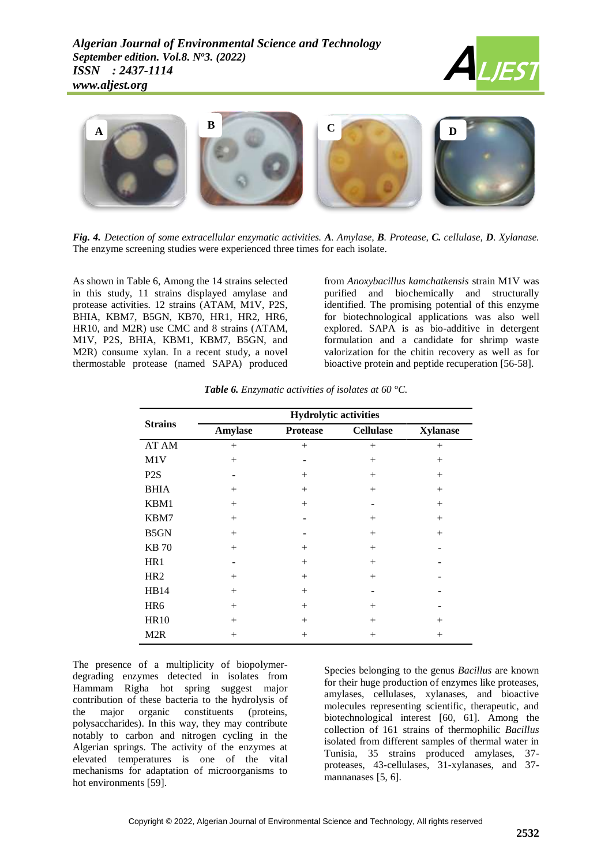



*Fig. 4. Detection of some extracellular enzymatic activities. A. Amylase, B. Protease, C. cellulase, D. Xylanase.*  The enzyme screening studies were experienced three times for each isolate.

As shown in Table 6, Among the 14 strains selected in this study, 11 strains displayed amylase and protease activities. 12 strains (ATAM, M1V, P2S, BHIA, KBM7, B5GN, KB70, HR1, HR2, HR6, HR10, and M2R) use CMC and 8 strains (ATAM, M1V, P2S, BHIA, KBM1, KBM7, B5GN, and M2R) consume xylan. In a recent study, a novel thermostable protease (named SAPA) produced

from *Anoxybacillus kamchatkensis* strain M1V was purified and biochemically and structurally identified. The promising potential of this enzyme for biotechnological applications was also well explored. SAPA is as bio-additive in detergent formulation and a candidate for shrimp waste valorization for the chitin recovery as well as for bioactive protein and peptide recuperation [56-58].

|                  |                | <b>Hydrolytic activities</b> |                  |                 |
|------------------|----------------|------------------------------|------------------|-----------------|
| <b>Strains</b>   | <b>Amylase</b> | <b>Protease</b>              | <b>Cellulase</b> | <b>Xylanase</b> |
| AT AM            | $+$            | $^{+}$                       | $^{+}$           | $^{+}$          |
| M1V              | $^{+}$         |                              | $^{+}$           | $^{+}$          |
| P <sub>2</sub> S |                | $^{+}$                       | $+$              | $^{+}$          |
| <b>BHIA</b>      | $^{+}$         | $^{+}$                       | $+$              | $^{+}$          |
| KBM1             | $+$            | $+$                          |                  | $^{+}$          |
| KBM7             | $^{+}$         |                              | $^{+}$           | $^{+}$          |
| B5GN             | $+$            |                              | $+$              | $^{+}$          |
| <b>KB</b> 70     | $+$            | $^{+}$                       | $^{+}$           |                 |
| HR1              |                | $^{+}$                       | $+$              |                 |
| HR <sub>2</sub>  | $^{+}$         | $^{+}$                       | $+$              |                 |
| <b>HB14</b>      | $^{+}$         | $^{+}$                       |                  |                 |
| HR6              | $^{+}$         | $^{+}$                       | $^{+}$           |                 |
| <b>HR10</b>      | $+$            | $^{+}$                       | $+$              | $^{+}$          |
| M <sub>2</sub> R | $^{+}$         | $^+$                         | $^{+}$           | $^{+}$          |

*Table 6. Enzymatic activities of isolates at 60 °C.*

The presence of a multiplicity of biopolymerdegrading enzymes detected in isolates from Hammam Righa hot spring suggest major contribution of these bacteria to the hydrolysis of the major organic constituents (proteins, polysaccharides). In this way, they may contribute notably to carbon and nitrogen cycling in the Algerian springs. The activity of the enzymes at elevated temperatures is one of the vital mechanisms for adaptation of microorganisms to hot environments [59].

Species belonging to the genus *Bacillus* are known for their huge production of enzymes like proteases, amylases, cellulases, xylanases, and bioactive molecules representing scientific, therapeutic, and biotechnological interest [60, 61]. Among the collection of 161 strains of thermophilic *Bacillus*  isolated from different samples of thermal water in Tunisia, 35 strains produced amylases, 37 proteases, 43-cellulases, 31-xylanases, and 37 mannanases [5, 6].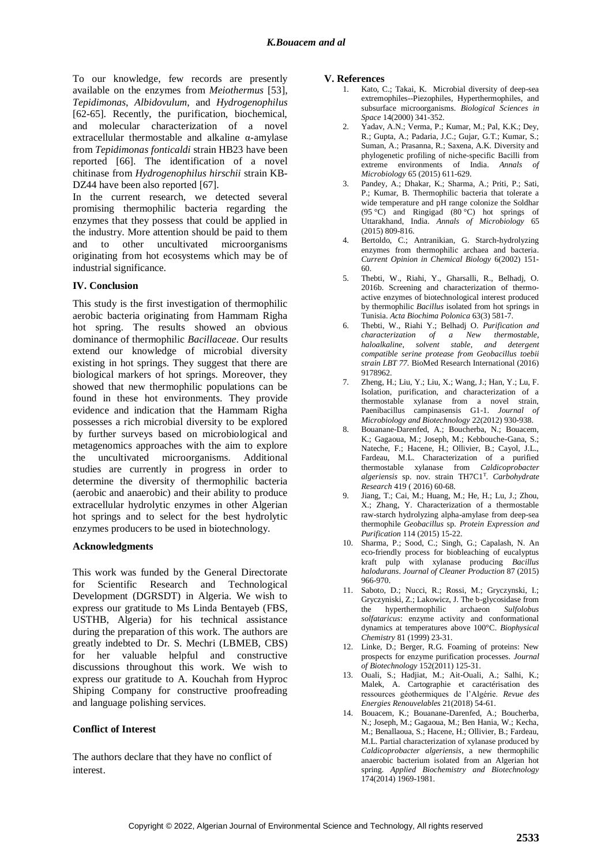To our knowledge, few records are presently available on the enzymes from *Meiothermus* [53], *Tepidimonas*, *Albidovulum*, and *Hydrogenophilus*  [62-65]. Recently, the purification, biochemical, and molecular characterization of a novel extracellular thermostable and alkaline α-amylase from *Tepidimonas fonticaldi* strain HB23 have been reported [66]. The identification of a novel chitinase from *Hydrogenophilus hirschii* strain KB-DZ44 have been also reported [67].

In the current research, we detected several promising thermophilic bacteria regarding the enzymes that they possess that could be applied in the industry. More attention should be paid to them and to other uncultivated microorganisms originating from hot ecosystems which may be of industrial significance.

#### **IV. Conclusion**

This study is the first investigation of thermophilic aerobic bacteria originating from Hammam Righa hot spring. The results showed an obvious dominance of thermophilic *Bacillaceae*. Our results extend our knowledge of microbial diversity existing in hot springs. They suggest that there are biological markers of hot springs. Moreover, they showed that new thermophilic populations can be found in these hot environments. They provide evidence and indication that the Hammam Righa possesses a rich microbial diversity to be explored by further surveys based on microbiological and metagenomics approaches with the aim to explore the uncultivated microorganisms. Additional studies are currently in progress in order to determine the diversity of thermophilic bacteria (aerobic and anaerobic) and their ability to produce extracellular hydrolytic enzymes in other Algerian hot springs and to select for the best hydrolytic enzymes producers to be used in biotechnology.

#### **Acknowledgments**

This work was funded by the General Directorate for Scientific Research and Technological Development (DGRSDT) in Algeria. We wish to express our gratitude to Ms Linda Bentayeb (FBS, USTHB, Algeria) for his technical assistance during the preparation of this work. The authors are greatly indebted to Dr. S. Mechri (LBMEB, CBS) for her valuable helpful and constructive discussions throughout this work. We wish to express our gratitude to A. Kouchah from Hyproc Shiping Company for constructive proofreading and language polishing services.

#### **Conflict of Interest**

The authors declare that they have no conflict of interest.

#### **V. References**

- 1. Kato, C.; Takai, K. Microbial diversity of deep-sea extremophiles--Piezophiles, Hyperthermophiles, and subsurface microorganisms. *Biological Sciences in Space* 14(2000) 341-352.
- 2. Yadav, A.N.; Verma, P.; Kumar, M.; Pal, K.K.; Dey, R.; Gupta, A.; Padaria, J.C.; Gujar, G.T.; Kumar, S.; Suman, A.; Prasanna, R.; Saxena, A.K. Diversity and phylogenetic profiling of niche-specific Bacilli from extreme environments of India. *Annals of Microbiology* 65 (2015) 611-629.
- 3. Pandey, A.; Dhakar, K.; Sharma, A.; Priti, P.; Sati, P.; Kumar, B. Thermophilic bacteria that tolerate a wide temperature and pH range colonize the Soldhar (95 °C) and Ringigad (80 °C) hot springs of Uttarakhand, India. *Annals of Microbiology* 65 (2015) 809-816.
- 4. Bertoldo, C.; Antranikian, G. Starch-hydrolyzing enzymes from thermophilic archaea and bacteria. *Current Opinion in Chemical Biology* 6(2002) 151- 60.
- 5. Thebti, W., Riahi, Y., Gharsalli, R., Belhadj, O. 2016b. Screening and characterization of thermoactive enzymes of biotechnological interest produced by thermophilic *Bacillus* isolated from hot springs in Tunisia. *Acta Biochima Polonica* 63(3) 581-7.
- 6. Thebti, W., Riahi Y.; Belhadj O. *Purification and characterization of a New thermostable, haloalkaline, solvent stable, and detergent compatible serine protease from Geobacillus toebii strain LBT 77.* BioMed Research International (2016) 9178962.
- 7. Zheng, H.; Liu, Y.; Liu, X.; Wang, J.; Han, Y.; Lu, F. Isolation, purification, and characterization of a thermostable xylanase from a novel strain, Paenibacillus campinasensis G1-1. *Journal of Microbiology and Biotechnology* 22(2012) 930-938.
- 8. Bouanane-Darenfed, A.; Boucherba, N.; Bouacem, K.; Gagaoua, M.; Joseph, M.; Kebbouche-Gana, S.; Nateche, F.; Hacene, H.; Ollivier, B.; Cayol, J.L., Fardeau, M.L. Characterization of a purified thermostable xylanase from *Caldicoprobacter algeriensis* sp. nov. strain TH7C1<sup>T</sup> . *Carbohydrate Research* 419 ( 2016) 60-68.
- 9. Jiang, T.; Cai, M.; Huang, M.; He, H.; Lu, J.; Zhou, X.; Zhang, Y. Characterization of a thermostable raw-starch hydrolyzing alpha-amylase from deep-sea thermophile *Geobacillus* sp. *Protein Expression and Purification* 114 (2015) 15-22.
- 10. Sharma, P.; Sood, C.; Singh, G.; Capalash, N. An eco-friendly process for biobleaching of eucalyptus kraft pulp with xylanase producing *Bacillus halodurans*. *Journal of Cleaner Production* 87 (2015) 966-970.
- 11. Saboto, D.; Nucci, R.; Rossi, M.; Gryczynski, I.; Gryczyniski, Z.; Lakowicz, J. The b-glycosidase from the hyperthermophilic archaeon *Sulfolobus solfataricus*: enzyme activity and conformational dynamics at temperatures above 100°C. *Biophysical Chemistry* 81 (1999) 23-31.
- 12. Linke, D.; Berger, R.G. Foaming of proteins: New prospects for enzyme purification processes. *Journal of Biotechnology* 152(2011) 125-31.
- 13. Ouali, S.; Hadjiat, M.; Ait-Ouali, A.; Salhi, K.; Malek, A. Cartographie et caractérisation des ressources géothermiques de l'Algérie. *Revue des Energies Renouvelables* 21(2018) 54-61.
- 14. Bouacem, K.; Bouanane-Darenfed, A.; Boucherba, N.; Joseph, M.; Gagaoua, M.; Ben Hania, W.; Kecha, M.; Benallaoua, S.; Hacene, H.; Ollivier, B.; Fardeau, M.L. Partial characterization of xylanase produced by *Caldicoprobacter algeriensis*, a new thermophilic anaerobic bacterium isolated from an Algerian hot spring. *Applied Biochemistry and Biotechnology* 174(2014) 1969-1981.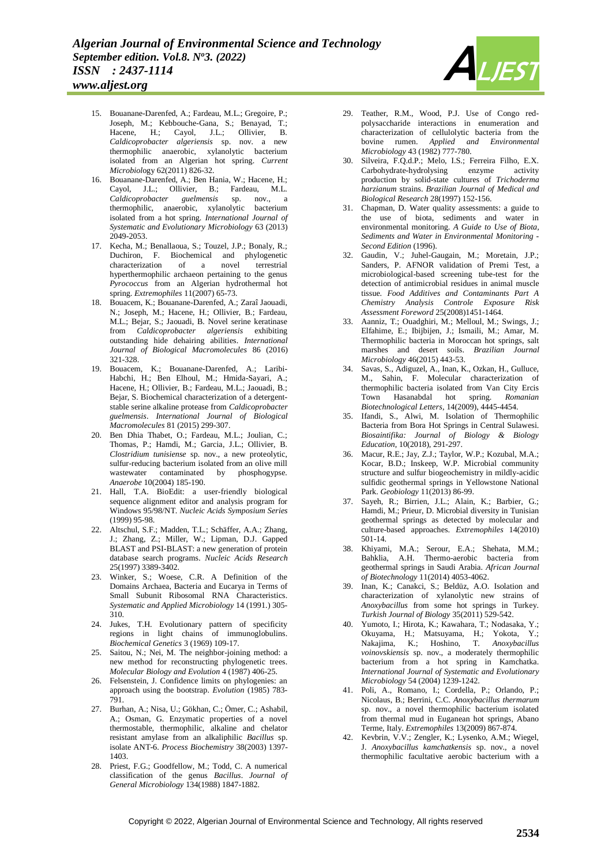

*www.aljest.org*

- 15. Bouanane-Darenfed, A.; Fardeau, M.L.; Gregoire, P.; Joseph, M.; Kebbouche-Gana, S.; Benayad, T.; Hacene, H.; Cayol, J.L.; Ollivier, B. *Caldicoprobacter algeriensis* sp. nov. a new thermophilic anaerobic, xylanolytic bacterium isolated from an Algerian hot spring. *Current Microbiol*ogy 62(2011) 826-32.
- 16. Bouanane-Darenfed, A.; Ben Hania, W.; Hacene, H.; Cayol, J.L.; Ollivier, B.; Fardeau, M.L. *Caldicoprobacter guelmensis* sp. nov., a thermophilic, anaerobic, xylanolytic bacterium isolated from a hot spring. *International Journal of Systematic and Evolutionary Microbiology* 63 (2013) 2049-2053.
- 17. Kecha, M.; Benallaoua, S.; Touzel, J.P.; Bonaly, R.; Duchiron, F. Biochemical and phylogenetic characterization of a novel terrestrial hyperthermophilic archaeon pertaining to the genus *Pyrococcus* from an Algerian hydrothermal hot spring. *Extremophiles* 11(2007) 65-73.
- 18. Bouacem, K.; Bouanane-Darenfed, A.; Zaraî Jaouadi, N.; Joseph, M.; Hacene, H.; Ollivier, B.; Fardeau, M.L.; Bejar, S.; Jaouadi, B. Novel serine keratinase from *Caldicoprobacter algeriensis* exhibiting outstanding hide dehairing abilities. *International Journal of Biological Macromolecules* 86 (2016) 321-328.
- 19. Bouacem, K.; Bouanane-Darenfed, A.; Laribi-Habchi, H.; Ben Elhoul, M.; Hmida-Sayari, A.; Hacene, H.; Ollivier, B.; Fardeau, M.L.; Jaouadi, B.; Bejar, S. Biochemical characterization of a detergentstable serine alkaline protease from *Caldicoprobacter guelmensis*. *International Journal of Biological Macromolecules* 81 (2015) 299-307.
- 20. Ben Dhia Thabet, O.; Fardeau, M.L.; Joulian, C.; Thomas, P.; Hamdi, M.; Garcia, J.L.; Ollivier, B. *Clostridium tunisiense* sp. nov., a new proteolytic, sulfur-reducing bacterium isolated from an olive mill wastewater contaminated by phosphogypse. *Anaerobe* 10(2004) 185-190.
- 21. Hall, T.A. BioEdit: a user-friendly biological sequence alignment editor and analysis program for Windows 95/98/NT. *Nucleic Acids Symposium Series* (1999) 95-98.
- 22. Altschul, S.F.; Madden, T.L.; Schäffer, A.A.; Zhang, J.; Zhang, Z.; Miller, W.; Lipman, D.J. Gapped BLAST and PSI-BLAST: a new generation of protein database search programs. *Nucleic Acids Research* 25(1997) 3389-3402.
- 23. Winker, S.; Woese, C.R. A Definition of the Domains Archaea, Bacteria and Eucarya in Terms of Small Subunit Ribosomal RNA Characteristics. *Systematic and Applied Microbiology* 14 (1991.) 305- 310.
- 24. Jukes, T.H. Evolutionary pattern of specificity regions in light chains of immunoglobulins. *Biochemical Genetics* 3 (1969) 109-17.
- 25. Saitou, N.; Nei, M. The neighbor-joining method: a new method for reconstructing phylogenetic trees. *Molecular Biology and Evolution* 4 (1987) 406-25.
- 26. Felsenstein, J. Confidence limits on phylogenies: an approach using the bootstrap. *Evolution* (1985) 783- 791.
- 27. Burhan, A.; Nisa, U.; Gökhan, C.; Ömer, C.; Ashabil, A.; Osman, G. Enzymatic properties of a novel thermostable, thermophilic, alkaline and chelator resistant amylase from an alkaliphilic *Bacillus* sp. isolate ANT-6. *Process Biochemistry* 38(2003) 1397- 1403.
- 28. Priest, F.G.; Goodfellow, M.; Todd, C. A numerical classification of the genus *Bacillus*. *Journal of General Microbiology* 134(1988) 1847-1882.
- 29. Teather, R.M., Wood, P.J. Use of Congo redpolysaccharide interactions in enumeration and characterization of cellulolytic bacteria from the bovine rumen. *Applied and Environmental Microbiology* 43 (1982) 777-780.
- 30. Silveira, F.Q.d.P.; Melo, I.S.; Ferreira Filho, E.X. Carbohydrate-hydrolysing enzyme activity production by solid-state cultures of *Trichoderma harzianum* strains. *Brazilian Journal of Medical and Biological Research* 28(1997) 152-156.
- 31. Chapman, D. Water quality assessments: a guide to the use of biota, sediments and water in environmental monitoring. *A Guide to Use of Biota, Sediments and Water in Environmental Monitoring - Second Edition* (1996).
- 32. Gaudin, V.; Juhel-Gaugain, M.; Moretain, J.P.; Sanders, P. AFNOR validation of Premi Test, a microbiological-based screening tube-test for the detection of antimicrobial residues in animal muscle tissue. *Food Additives and Contaminants Part A Chemistry Analysis Controle Exposure Risk Assessment Foreword* 25(2008)1451-1464.
- 33. Aanniz, T.; Ouadghiri, M.; Melloul, M.; Swings, J.; Elfahime, E.; Ibijbijen, J.; Ismaili, M.; Amar, M. Thermophilic bacteria in Moroccan hot springs, salt marshes and desert soils. *Brazilian Journal Microbiology* 46(2015) 443-53.
- 34. Savas, S., Adiguzel, A., Inan, K., Ozkan, H., Gulluce, M., Sahin, F. Molecular characterization of thermophilic bacteria isolated from Van City Ercis<br>Town Hasanabdal hot spring. Romanian Town Hasanabdal hot spring. *Biotechnological Letters*, 14(2009), 4445-4454.
- 35. Ifandi, S., Alwi, M. Isolation of Thermophilic Bacteria from Bora Hot Springs in Central Sulawesi. *Biosaintifika: Journal of Biology & Biology Education*, 10(2018), 291-297.
- 36. Macur, R.E.; Jay, Z.J.; Taylor, W.P.; Kozubal, M.A.; Kocar, B.D.; Inskeep, W.P. Microbial community structure and sulfur biogeochemistry in mildly-acidic sulfidic geothermal springs in Yellowstone National Park. *Geobiology* 11(2013) 86-99.
- 37. Sayeh, R.; Birrien, J.L.; Alain, K.; Barbier, G.; Hamdi, M.; Prieur, D. Microbial diversity in Tunisian geothermal springs as detected by molecular and culture-based approaches. *Extremophiles* 14(2010) 501-14.
- 38. Khiyami, M.A.; Serour, E.A.; Shehata, M.M.; Bahklia, A.H. Thermo-aerobic bacteria from geothermal springs in Saudi Arabia. *African Journal of Biotechnology* 11(2014) 4053-4062.
- 39. Inan, K.; Canakci, S.; Beldüz, A.O. Isolation and characterization of xylanolytic new strains of *Anoxybacillus* from some hot springs in Turkey. *Turkish Journal of Biology* 35(2011) 529-542.
- 40. Yumoto, I.; Hirota, K.; Kawahara, T.; Nodasaka, Y.; Okuyama, H.; Matsuyama, H.; Yokota, Y.; Nakajima, K.; Hoshino, T. *Anoxybacillus voinovskiensis* sp. nov., a moderately thermophilic bacterium from a hot spring in Kamchatka. *International Journal of Systematic and Evolutionary Microbiology* 54 (2004) 1239-1242.
- 41. Poli, A., Romano, I.; Cordella, P.; Orlando, P.; Nicolaus, B.; Berrini, C.C. *Anoxybacillus thermarum* sp. nov., a novel thermophilic bacterium isolated from thermal mud in Euganean hot springs, Abano Terme, Italy. *Extremophiles* 13(2009) 867-874.
- 42. Kevbrin, V.V.; Zengler, K.; Lysenko, A.M.; Wiegel, J. *Anoxybacillus kamchatkensis* sp. nov., a novel thermophilic facultative aerobic bacterium with a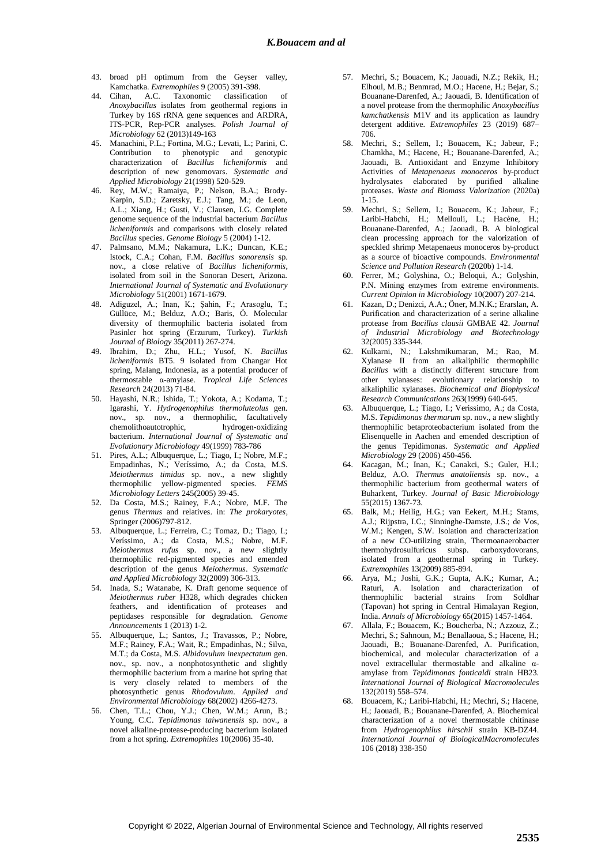- 43. broad pH optimum from the Geyser valley, Kamchatka. *Extremophiles* 9 (2005) 391-398.
- 44. Cihan, A.C. Taxonomic classification of *Anoxybacillus* isolates from geothermal regions in Turkey by 16S rRNA gene sequences and ARDRA, ITS-PCR, Rep-PCR analyses. *Polish Journal of Microbiology* 62 (2013)149-163
- 45. Manachini, P.L.; Fortina, M.G.; Levati, L.; Parini, C. Contribution to phenotypic and genotypic characterization of *Bacillus licheniformis* and description of new genomovars. *Systematic and Applied Microbiology* 21(1998) 520-529.
- 46. Rey, M.W.; Ramaiya, P.; Nelson, B.A.; Brody-Karpin, S.D.; Zaretsky, E.J.; Tang, M.; de Leon, A.L.; Xiang, H.; Gusti, V.; Clausen, I.G. Complete genome sequence of the industrial bacterium *Bacillus licheniformis* and comparisons with closely related *Bacillus* species. *Genome Biology* 5 (2004) 1-12.
- 47. Palmsano, M.M.; Nakamura, L.K.; Duncan, K.E.; Istock, C.A.; Cohan, F.M. *Bacillus sonorensis* sp. nov., a close relative of *Bacillus licheniformis*, isolated from soil in the Sonoran Desert, Arizona. *International Journal of Systematic and Evolutionary Microbiology* 51(2001) 1671-1679.
- 48. Adiguzel, A.; Inan, K.; Şahin, F.; Arasoglu, T.; Güllüce, M.; Belduz, A.O.; Baris, Ö. Molecular diversity of thermophilic bacteria isolated from Pasinler hot spring (Erzurum, Turkey). *Turkish Journal of Biology* 35(2011) 267-274.
- 49. Ibrahim, D.; Zhu, H.L.; Yusof, N. *Bacillus licheniformis* BT5. 9 isolated from Changar Hot spring, Malang, Indonesia, as a potential producer of thermostable α-amylase. *Tropical Life Sciences Research* 24(2013) 71-84.
- 50. Hayashi, N.R.; Ishida, T.; Yokota, A.; Kodama, T.; Igarashi, Y. *Hydrogenophilus thermoluteolus* gen. nov., sp. nov., a thermophilic, facultatively chemolithoautotrophic, hydrogen-oxidizing bacterium. *International Journal of Systematic and Evolutionary Microbiology* 49(1999) 783-786
- Pires, A.L.; Albuquerque, L.; Tiago, I.; Nobre, M.F.; Empadinhas, N.; Veríssimo, A.; da Costa, M.S. *Meiothermus timidus* sp. nov., a new slightly thermophilic yellow-pigmented species. *FEMS Microbiology Letters* 245(2005) 39-45.
- 52. Da Costa, M.S.; Rainey, F.A.; Nobre, M.F. The genus *Thermus* and relatives. in: *The prokaryotes*, Springer (2006)797-812.
- 53. Albuquerque, L.; Ferreira, C.; Tomaz, D.; Tiago, I.; Veríssimo, A.; da Costa, M.S.; Nobre, M.F. *Meiothermus rufus* sp. nov., a new slightly thermophilic red-pigmented species and emended description of the genus *Meiothermus*. *Systematic and Applied Microbiology* 32(2009) 306-313.
- 54. Inada, S.; Watanabe, K. Draft genome sequence of *Meiothermus ruber* H328, which degrades chicken feathers, and identification of proteases and peptidases responsible for degradation. *Genome Announcements* 1 (2013) 1-2.
- 55. Albuquerque, L.; Santos, J.; Travassos, P.; Nobre, M.F.; Rainey, F.A.; Wait, R.; Empadinhas, N.; Silva, M.T.; da Costa, M.S. *Albidovulum inexpectatum* gen. nov., sp. nov., a nonphotosynthetic and slightly thermophilic bacterium from a marine hot spring that is very closely related to members of the photosynthetic genus *Rhodovulum*. *Applied and Environmental Microbiology* 68(2002) 4266-4273.
- 56. Chen, T.L.; Chou, Y.J.; Chen, W.M.; Arun, B.; Young, C.C. *Tepidimonas taiwanensis* sp. nov., a novel alkaline-protease-producing bacterium isolated from a hot spring. *Extremophiles* 10(2006) 35-40.
- 57. Mechri, S.; Bouacem, K.; Jaouadi, N.Z.; Rekik, H.; Elhoul, M.B.; Benmrad, M.O.; Hacene, H.; Bejar, S.; Bouanane-Darenfed, A.; Jaouadi, B. Identification of a novel protease from the thermophilic *Anoxybacillus kamchatkensis* M1V and its application as laundry detergent additive. *Extremophiles* 23 (2019) 687– 706.
- 58. Mechri, S.; Sellem, I.; Bouacem, K.; Jabeur, F.; Chamkha, M.; Hacene, H.; Bouanane-Darenfed, A.; Jaouadi, B. Antioxidant and Enzyme Inhibitory Activities of *Metapenaeus monoceros* by-product hydrolysates elaborated by purified alkaline proteases. *Waste and Biomass Valorization* (2020a)  $1 - 15$ .
- 59. Mechri, S.; Sellem, I.; Bouacem, K.; Jabeur, F.; Laribi-Habchi, H.; Mellouli, L.; Hacène, H.; Bouanane-Darenfed, A.; Jaouadi, B. A biological clean processing approach for the valorization of speckled shrimp Metapenaeus monoceros by-product as a source of bioactive compounds. *Environmental Science and Pollution Research* (2020b) 1-14.
- 60. Ferrer, M.; Golyshina, O.; Beloqui, A.; Golyshin, P.N. Mining enzymes from extreme environments. *Current Opinion in Microbiology* 10(2007) 207-214.
- 61. Kazan, D.; Denizci, A.A.; Öner, M.N.K.; Erarslan, A. Purification and characterization of a serine alkaline protease from *Bacillus clausii* GMBAE 42. *Journal of Industrial Microbiology and Biotechnology* 32(2005) 335-344.
- 62. Kulkarni, N.; Lakshmikumaran, M.; Rao, M. Xylanase II from an alkaliphilic thermophilic *Bacillus* with a distinctly different structure from other xylanases: evolutionary relationship to alkaliphilic xylanases. *Biochemical and Biophysical Research Communications* 263(1999) 640-645.
- 63. Albuquerque, L.; Tiago, I.; Verissimo, A.; da Costa, M.S. *Tepidimonas thermarum* sp. nov., a new slightly thermophilic betaproteobacterium isolated from the Elisenquelle in Aachen and emended description of the genus Tepidimonas. *Systematic and Applied Microbiology* 29 (2006) 450-456.
- 64. Kacagan, M.; Inan, K.; Canakci, S.; Guler, H.I.; Belduz, A.O. *Thermus anatoliensis* sp. nov., a thermophilic bacterium from geothermal waters of Buharkent, Turkey. *Journal of Basic Microbiology* 55(2015) 1367-73.
- 65. Balk, M.; Heilig, H.G.; van Eekert, M.H.; Stams, A.J.; Rijpstra, I.C.; Sinninghe-Damste, J.S.; de Vos, W.M.; Kengen, S.W. Isolation and characterization of a new CO-utilizing strain, Thermoanaerobacter thermohydrosulfuricus subsp. carboxydovorans, isolated from a geothermal spring in Turkey. *Extremophiles* 13(2009) 885-894.
- 66. Arya, M.; Joshi, G.K.; Gupta, A.K.; Kumar, A.; Raturi, A. Isolation and characterization of thermophilic bacterial strains from Soldhar (Tapovan) hot spring in Central Himalayan Region, India. *Annals of Microbiology* 65(2015) 1457-1464.
- 67. Allala, F.; Bouacem, K.; Boucherba, N.; Azzouz, Z.; Mechri, S.; Sahnoun, M.; Benallaoua, S.; Hacene, H.; Jaouadi, B.; Bouanane-Darenfed, A. Purification, biochemical, and molecular characterization of a novel extracellular thermostable and alkaline αamylase from *Tepidimonas fonticaldi* strain HB23. *International Journal of Biological Macromolecules* 132(2019) 558–574.
- 68. Bouacem, K.; Laribi-Habchi, H.; Mechri, S.; Hacene, H.; Jaouadi, B.; Bouanane-Darenfed, A. Biochemical characterization of a novel thermostable chitinase from *Hydrogenophilus hirschii* strain KB-DZ44. *International Journal of BiologicalMacromolecules* 106 (2018) 338-350